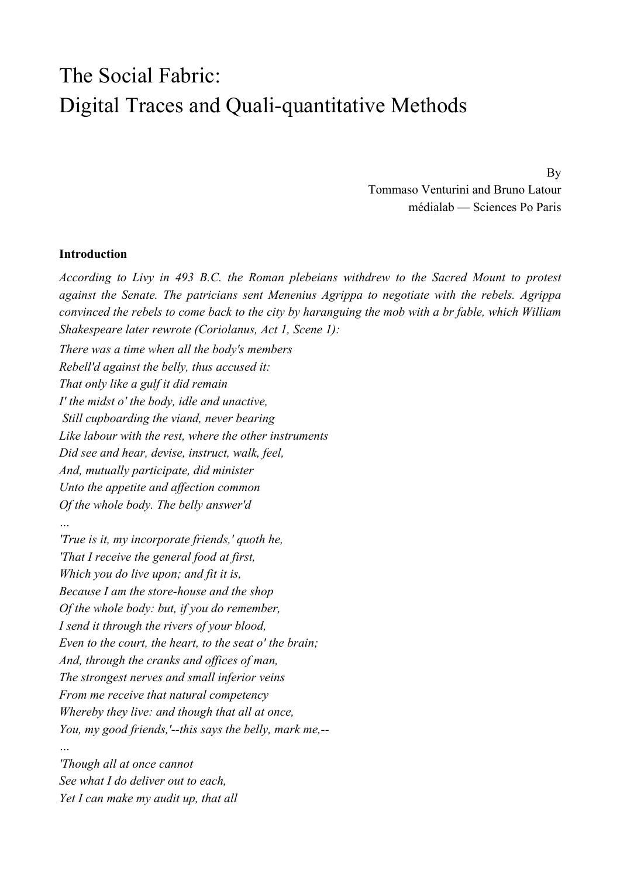# The Social Fabric: Digital Traces and Quali-quantitative Methods

By Tommaso Venturini and Bruno Latour médialab — Sciences Po Paris

#### **Introduction**

*According to Livy in 493 B.C. the Roman plebeians withdrew to the Sacred Mount to protest against the Senate. The patricians sent Menenius Agrippa to negotiate with the rebels. Agrippa convinced the rebels to come back to the city by haranguing the mob with a br fable, which William Shakespeare later rewrote (Coriolanus, Act 1, Scene 1):*

*There was a time when all the body's members Rebell'd against the belly, thus accused it: That only like a gulf it did remain I' the midst o' the body, idle and unactive, Still cupboarding the viand, never bearing Like labour with the rest, where the other instruments Did see and hear, devise, instruct, walk, feel, And, mutually participate, did minister Unto the appetite and affection common Of the whole body. The belly answer'd …*

*'True is it, my incorporate friends,' quoth he, 'That I receive the general food at first, Which you do live upon; and fit it is, Because I am the store-house and the shop Of the whole body: but, if you do remember, I send it through the rivers of your blood, Even to the court, the heart, to the seat o' the brain; And, through the cranks and offices of man, The strongest nerves and small inferior veins From me receive that natural competency Whereby they live: and though that all at once, You, my good friends,'--this says the belly, mark me,--*

*'Though all at once cannot See what I do deliver out to each, Yet I can make my audit up, that all*

*…*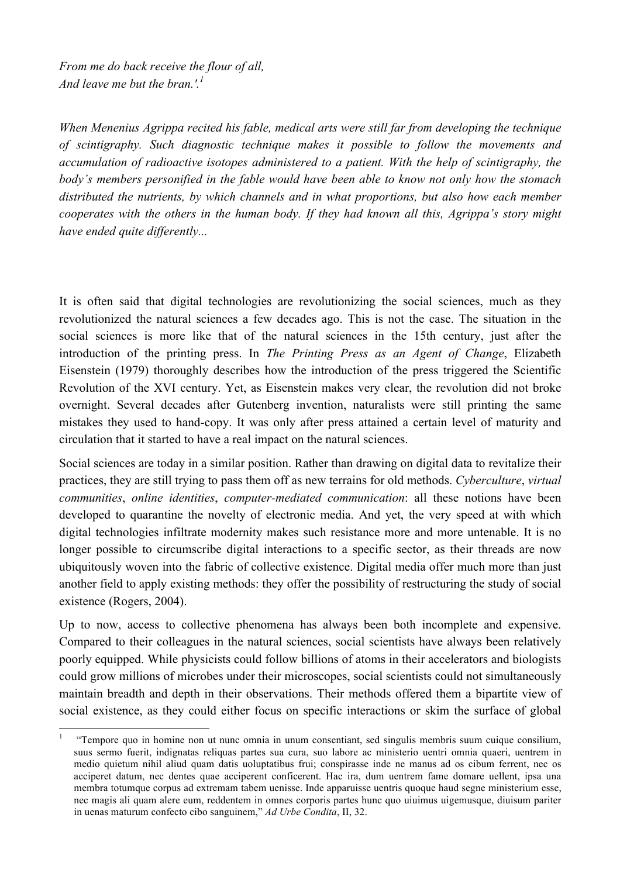*From me do back receive the flour of all, And leave me but the bran.'. 1*

*When Menenius Agrippa recited his fable, medical arts were still far from developing the technique of scintigraphy. Such diagnostic technique makes it possible to follow the movements and accumulation of radioactive isotopes administered to a patient. With the help of scintigraphy, the body's members personified in the fable would have been able to know not only how the stomach distributed the nutrients, by which channels and in what proportions, but also how each member cooperates with the others in the human body. If they had known all this, Agrippa's story might have ended quite differently...*

It is often said that digital technologies are revolutionizing the social sciences, much as they revolutionized the natural sciences a few decades ago. This is not the case. The situation in the social sciences is more like that of the natural sciences in the 15th century, just after the introduction of the printing press. In *The Printing Press as an Agent of Change*, Elizabeth Eisenstein (1979) thoroughly describes how the introduction of the press triggered the Scientific Revolution of the XVI century. Yet, as Eisenstein makes very clear, the revolution did not broke overnight. Several decades after Gutenberg invention, naturalists were still printing the same mistakes they used to hand-copy. It was only after press attained a certain level of maturity and circulation that it started to have a real impact on the natural sciences.

Social sciences are today in a similar position. Rather than drawing on digital data to revitalize their practices, they are still trying to pass them off as new terrains for old methods. *Cyberculture*, *virtual communities*, *online identities*, *computer-mediated communication*: all these notions have been developed to quarantine the novelty of electronic media. And yet, the very speed at with which digital technologies infiltrate modernity makes such resistance more and more untenable. It is no longer possible to circumscribe digital interactions to a specific sector, as their threads are now ubiquitously woven into the fabric of collective existence. Digital media offer much more than just another field to apply existing methods: they offer the possibility of restructuring the study of social existence (Rogers, 2004).

Up to now, access to collective phenomena has always been both incomplete and expensive. Compared to their colleagues in the natural sciences, social scientists have always been relatively poorly equipped. While physicists could follow billions of atoms in their accelerators and biologists could grow millions of microbes under their microscopes, social scientists could not simultaneously maintain breadth and depth in their observations. Their methods offered them a bipartite view of social existence, as they could either focus on specific interactions or skim the surface of global

 <sup>1 &</sup>quot;Tempore quo in homine non ut nunc omnia in unum consentiant, sed singulis membris suum cuique consilium, suus sermo fuerit, indignatas reliquas partes sua cura, suo labore ac ministerio uentri omnia quaeri, uentrem in medio quietum nihil aliud quam datis uoluptatibus frui; conspirasse inde ne manus ad os cibum ferrent, nec os acciperet datum, nec dentes quae acciperent conficerent. Hac ira, dum uentrem fame domare uellent, ipsa una membra totumque corpus ad extremam tabem uenisse. Inde apparuisse uentris quoque haud segne ministerium esse, nec magis ali quam alere eum, reddentem in omnes corporis partes hunc quo uiuimus uigemusque, diuisum pariter in uenas maturum confecto cibo sanguinem," *Ad Urbe Condita*, II, 32.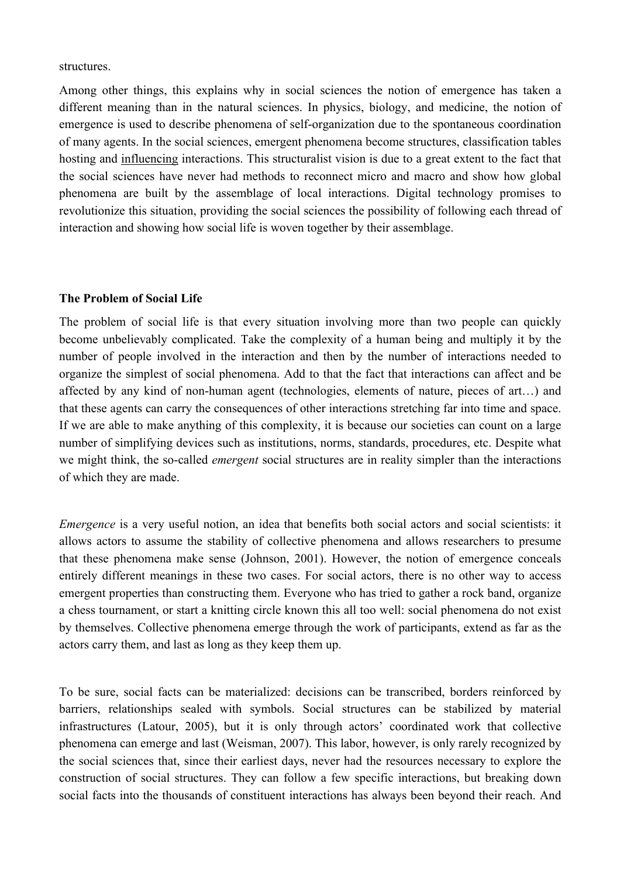structures.

Among other things, this explains why in social sciences the notion of emergence has taken a different meaning than in the natural sciences. In physics, biology, and medicine, the notion of emergence is used to describe phenomena of self-organization due to the spontaneous coordination of many agents. In the social sciences, emergent phenomena become structures, classification tables hosting and influencing interactions. This structuralist vision is due to a great extent to the fact that the social sciences have never had methods to reconnect micro and macro and show how global phenomena are built by the assemblage of local interactions. Digital technology promises to revolutionize this situation, providing the social sciences the possibility of following each thread of interaction and showing how social life is woven together by their assemblage.

## **The Problem of Social Life**

The problem of social life is that every situation involving more than two people can quickly become unbelievably complicated. Take the complexity of a human being and multiply it by the number of people involved in the interaction and then by the number of interactions needed to organize the simplest of social phenomena. Add to that the fact that interactions can affect and be affected by any kind of non-human agent (technologies, elements of nature, pieces of art…) and that these agents can carry the consequences of other interactions stretching far into time and space. If we are able to make anything of this complexity, it is because our societies can count on a large number of simplifying devices such as institutions, norms, standards, procedures, etc. Despite what we might think, the so-called *emergent* social structures are in reality simpler than the interactions of which they are made.

*Emergence* is a very useful notion, an idea that benefits both social actors and social scientists: it allows actors to assume the stability of collective phenomena and allows researchers to presume that these phenomena make sense (Johnson, 2001). However, the notion of emergence conceals entirely different meanings in these two cases. For social actors, there is no other way to access emergent properties than constructing them. Everyone who has tried to gather a rock band, organize a chess tournament, or start a knitting circle known this all too well: social phenomena do not exist by themselves. Collective phenomena emerge through the work of participants, extend as far as the actors carry them, and last as long as they keep them up.

To be sure, social facts can be materialized: decisions can be transcribed, borders reinforced by barriers, relationships sealed with symbols. Social structures can be stabilized by material infrastructures (Latour, 2005), but it is only through actors' coordinated work that collective phenomena can emerge and last (Weisman, 2007). This labor, however, is only rarely recognized by the social sciences that, since their earliest days, never had the resources necessary to explore the construction of social structures. They can follow a few specific interactions, but breaking down social facts into the thousands of constituent interactions has always been beyond their reach. And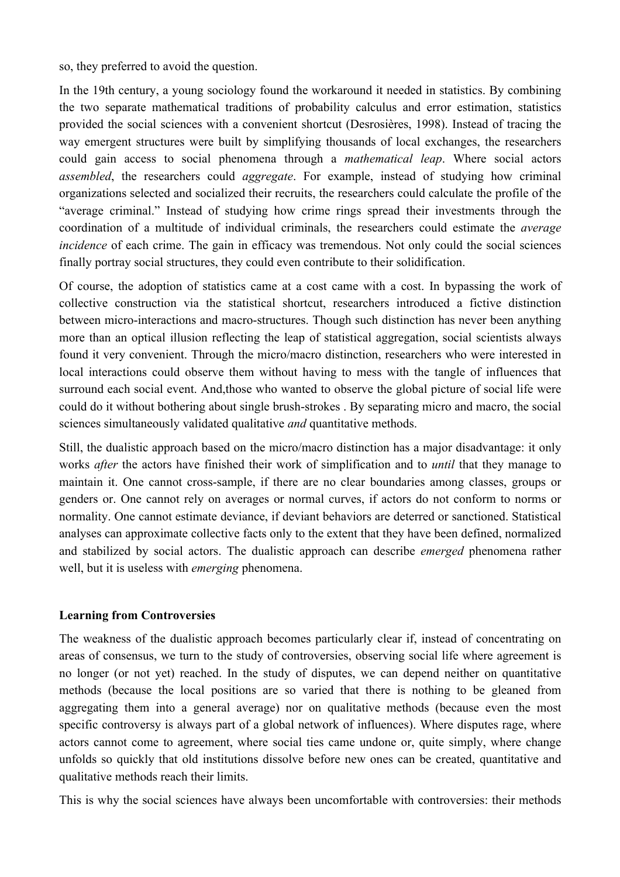so, they preferred to avoid the question.

In the 19th century, a young sociology found the workaround it needed in statistics. By combining the two separate mathematical traditions of probability calculus and error estimation, statistics provided the social sciences with a convenient shortcut (Desrosières, 1998). Instead of tracing the way emergent structures were built by simplifying thousands of local exchanges, the researchers could gain access to social phenomena through a *mathematical leap*. Where social actors *assembled*, the researchers could *aggregate*. For example, instead of studying how criminal organizations selected and socialized their recruits, the researchers could calculate the profile of the "average criminal." Instead of studying how crime rings spread their investments through the coordination of a multitude of individual criminals, the researchers could estimate the *average incidence* of each crime. The gain in efficacy was tremendous. Not only could the social sciences finally portray social structures, they could even contribute to their solidification.

Of course, the adoption of statistics came at a cost came with a cost. In bypassing the work of collective construction via the statistical shortcut, researchers introduced a fictive distinction between micro-interactions and macro-structures. Though such distinction has never been anything more than an optical illusion reflecting the leap of statistical aggregation, social scientists always found it very convenient. Through the micro/macro distinction, researchers who were interested in local interactions could observe them without having to mess with the tangle of influences that surround each social event. And,those who wanted to observe the global picture of social life were could do it without bothering about single brush-strokes . By separating micro and macro, the social sciences simultaneously validated qualitative *and* quantitative methods.

Still, the dualistic approach based on the micro/macro distinction has a major disadvantage: it only works *after* the actors have finished their work of simplification and to *until* that they manage to maintain it. One cannot cross-sample, if there are no clear boundaries among classes, groups or genders or. One cannot rely on averages or normal curves, if actors do not conform to norms or normality. One cannot estimate deviance, if deviant behaviors are deterred or sanctioned. Statistical analyses can approximate collective facts only to the extent that they have been defined, normalized and stabilized by social actors. The dualistic approach can describe *emerged* phenomena rather well, but it is useless with *emerging* phenomena.

## **Learning from Controversies**

The weakness of the dualistic approach becomes particularly clear if, instead of concentrating on areas of consensus, we turn to the study of controversies, observing social life where agreement is no longer (or not yet) reached. In the study of disputes, we can depend neither on quantitative methods (because the local positions are so varied that there is nothing to be gleaned from aggregating them into a general average) nor on qualitative methods (because even the most specific controversy is always part of a global network of influences). Where disputes rage, where actors cannot come to agreement, where social ties came undone or, quite simply, where change unfolds so quickly that old institutions dissolve before new ones can be created, quantitative and qualitative methods reach their limits.

This is why the social sciences have always been uncomfortable with controversies: their methods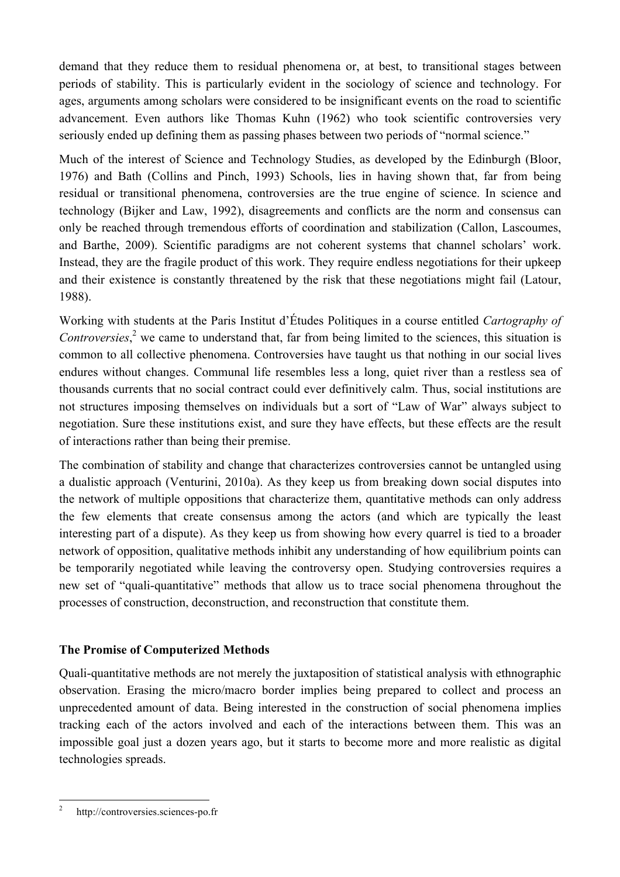demand that they reduce them to residual phenomena or, at best, to transitional stages between periods of stability. This is particularly evident in the sociology of science and technology. For ages, arguments among scholars were considered to be insignificant events on the road to scientific advancement. Even authors like Thomas Kuhn (1962) who took scientific controversies very seriously ended up defining them as passing phases between two periods of "normal science."

Much of the interest of Science and Technology Studies, as developed by the Edinburgh (Bloor, 1976) and Bath (Collins and Pinch, 1993) Schools, lies in having shown that, far from being residual or transitional phenomena, controversies are the true engine of science. In science and technology (Bijker and Law, 1992), disagreements and conflicts are the norm and consensus can only be reached through tremendous efforts of coordination and stabilization (Callon, Lascoumes, and Barthe, 2009). Scientific paradigms are not coherent systems that channel scholars' work. Instead, they are the fragile product of this work. They require endless negotiations for their upkeep and their existence is constantly threatened by the risk that these negotiations might fail (Latour, 1988).

Working with students at the Paris Institut d'Études Politiques in a course entitled *Cartography of Controversies*, $2$  we came to understand that, far from being limited to the sciences, this situation is common to all collective phenomena. Controversies have taught us that nothing in our social lives endures without changes. Communal life resembles less a long, quiet river than a restless sea of thousands currents that no social contract could ever definitively calm. Thus, social institutions are not structures imposing themselves on individuals but a sort of "Law of War" always subject to negotiation. Sure these institutions exist, and sure they have effects, but these effects are the result of interactions rather than being their premise.

The combination of stability and change that characterizes controversies cannot be untangled using a dualistic approach (Venturini, 2010a). As they keep us from breaking down social disputes into the network of multiple oppositions that characterize them, quantitative methods can only address the few elements that create consensus among the actors (and which are typically the least interesting part of a dispute). As they keep us from showing how every quarrel is tied to a broader network of opposition, qualitative methods inhibit any understanding of how equilibrium points can be temporarily negotiated while leaving the controversy open. Studying controversies requires a new set of "quali-quantitative" methods that allow us to trace social phenomena throughout the processes of construction, deconstruction, and reconstruction that constitute them.

# **The Promise of Computerized Methods**

Quali-quantitative methods are not merely the juxtaposition of statistical analysis with ethnographic observation. Erasing the micro/macro border implies being prepared to collect and process an unprecedented amount of data. Being interested in the construction of social phenomena implies tracking each of the actors involved and each of the interactions between them. This was an impossible goal just a dozen years ago, but it starts to become more and more realistic as digital technologies spreads.

 <sup>2</sup> http://controversies.sciences-po.fr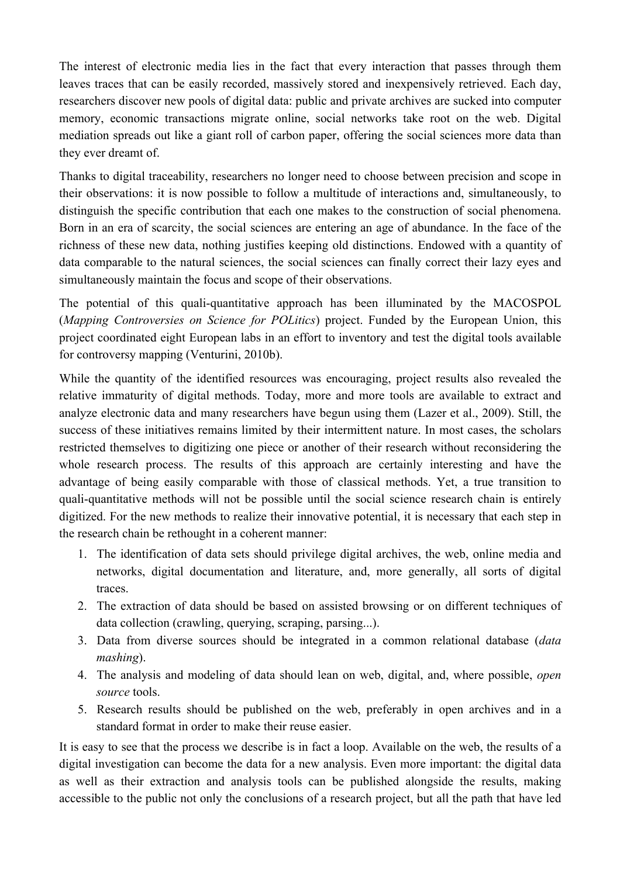The interest of electronic media lies in the fact that every interaction that passes through them leaves traces that can be easily recorded, massively stored and inexpensively retrieved. Each day, researchers discover new pools of digital data: public and private archives are sucked into computer memory, economic transactions migrate online, social networks take root on the web. Digital mediation spreads out like a giant roll of carbon paper, offering the social sciences more data than they ever dreamt of.

Thanks to digital traceability, researchers no longer need to choose between precision and scope in their observations: it is now possible to follow a multitude of interactions and, simultaneously, to distinguish the specific contribution that each one makes to the construction of social phenomena. Born in an era of scarcity, the social sciences are entering an age of abundance. In the face of the richness of these new data, nothing justifies keeping old distinctions. Endowed with a quantity of data comparable to the natural sciences, the social sciences can finally correct their lazy eyes and simultaneously maintain the focus and scope of their observations.

The potential of this quali-quantitative approach has been illuminated by the MACOSPOL (*Mapping Controversies on Science for POLitics*) project. Funded by the European Union, this project coordinated eight European labs in an effort to inventory and test the digital tools available for controversy mapping (Venturini, 2010b).

While the quantity of the identified resources was encouraging, project results also revealed the relative immaturity of digital methods. Today, more and more tools are available to extract and analyze electronic data and many researchers have begun using them (Lazer et al., 2009). Still, the success of these initiatives remains limited by their intermittent nature. In most cases, the scholars restricted themselves to digitizing one piece or another of their research without reconsidering the whole research process. The results of this approach are certainly interesting and have the advantage of being easily comparable with those of classical methods. Yet, a true transition to quali-quantitative methods will not be possible until the social science research chain is entirely digitized. For the new methods to realize their innovative potential, it is necessary that each step in the research chain be rethought in a coherent manner:

- 1. The identification of data sets should privilege digital archives, the web, online media and networks, digital documentation and literature, and, more generally, all sorts of digital traces.
- 2. The extraction of data should be based on assisted browsing or on different techniques of data collection (crawling, querying, scraping, parsing...).
- 3. Data from diverse sources should be integrated in a common relational database (*data mashing*).
- 4. The analysis and modeling of data should lean on web, digital, and, where possible, *open source* tools.
- 5. Research results should be published on the web, preferably in open archives and in a standard format in order to make their reuse easier.

It is easy to see that the process we describe is in fact a loop. Available on the web, the results of a digital investigation can become the data for a new analysis. Even more important: the digital data as well as their extraction and analysis tools can be published alongside the results, making accessible to the public not only the conclusions of a research project, but all the path that have led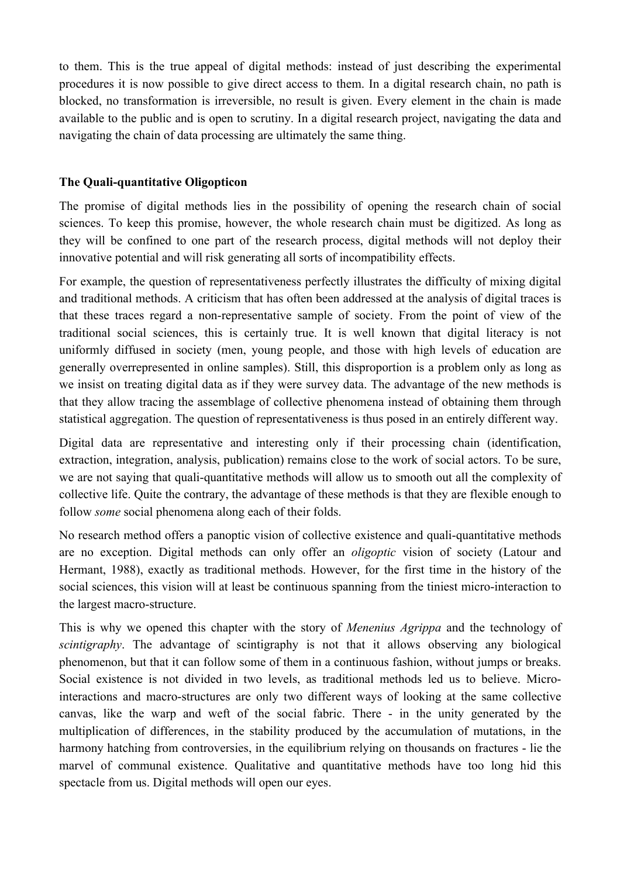to them. This is the true appeal of digital methods: instead of just describing the experimental procedures it is now possible to give direct access to them. In a digital research chain, no path is blocked, no transformation is irreversible, no result is given. Every element in the chain is made available to the public and is open to scrutiny. In a digital research project, navigating the data and navigating the chain of data processing are ultimately the same thing.

## **The Quali-quantitative Oligopticon**

The promise of digital methods lies in the possibility of opening the research chain of social sciences. To keep this promise, however, the whole research chain must be digitized. As long as they will be confined to one part of the research process, digital methods will not deploy their innovative potential and will risk generating all sorts of incompatibility effects.

For example, the question of representativeness perfectly illustrates the difficulty of mixing digital and traditional methods. A criticism that has often been addressed at the analysis of digital traces is that these traces regard a non-representative sample of society. From the point of view of the traditional social sciences, this is certainly true. It is well known that digital literacy is not uniformly diffused in society (men, young people, and those with high levels of education are generally overrepresented in online samples). Still, this disproportion is a problem only as long as we insist on treating digital data as if they were survey data. The advantage of the new methods is that they allow tracing the assemblage of collective phenomena instead of obtaining them through statistical aggregation. The question of representativeness is thus posed in an entirely different way.

Digital data are representative and interesting only if their processing chain (identification, extraction, integration, analysis, publication) remains close to the work of social actors. To be sure, we are not saying that quali-quantitative methods will allow us to smooth out all the complexity of collective life. Quite the contrary, the advantage of these methods is that they are flexible enough to follow *some* social phenomena along each of their folds.

No research method offers a panoptic vision of collective existence and quali-quantitative methods are no exception. Digital methods can only offer an *oligoptic* vision of society (Latour and Hermant, 1988), exactly as traditional methods. However, for the first time in the history of the social sciences, this vision will at least be continuous spanning from the tiniest micro-interaction to the largest macro-structure.

This is why we opened this chapter with the story of *Menenius Agrippa* and the technology of *scintigraphy*. The advantage of scintigraphy is not that it allows observing any biological phenomenon, but that it can follow some of them in a continuous fashion, without jumps or breaks. Social existence is not divided in two levels, as traditional methods led us to believe. Microinteractions and macro-structures are only two different ways of looking at the same collective canvas, like the warp and weft of the social fabric. There - in the unity generated by the multiplication of differences, in the stability produced by the accumulation of mutations, in the harmony hatching from controversies, in the equilibrium relying on thousands on fractures - lie the marvel of communal existence. Qualitative and quantitative methods have too long hid this spectacle from us. Digital methods will open our eyes.